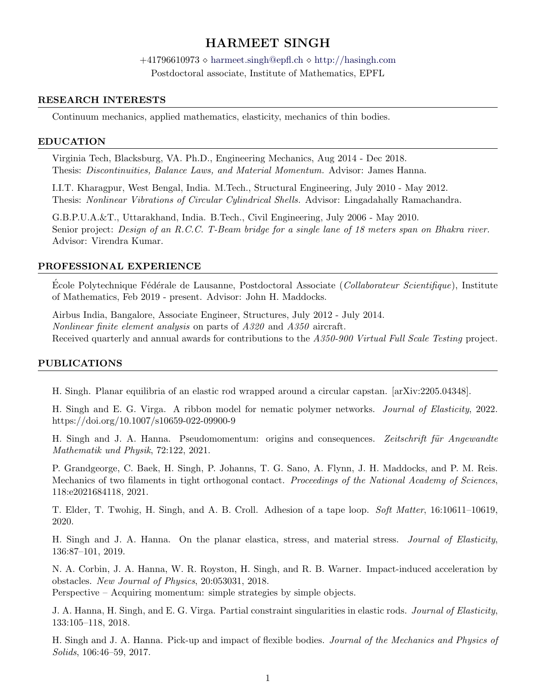# HARMEET SINGH

 $+41796610973 \diamond \text{harmeet}.\text{sing} \geq \text{depth} \diamond \text{http://hasingh.com}$  $+41796610973 \diamond \text{harmeet}.\text{sing} \geq \text{depth} \diamond \text{http://hasingh.com}$  $+41796610973 \diamond \text{harmeet}.\text{sing} \geq \text{depth} \diamond \text{http://hasingh.com}$ Postdoctoral associate, Institute of Mathematics, EPFL

### RESEARCH INTERESTS

Continuum mechanics, applied mathematics, elasticity, mechanics of thin bodies.

#### EDUCATION

Virginia Tech, Blacksburg, VA. Ph.D., Engineering Mechanics, Aug 2014 - Dec 2018. Thesis: Discontinuities, Balance Laws, and Material Momentum. Advisor: James Hanna.

I.I.T. Kharagpur, West Bengal, India. M.Tech., Structural Engineering, July 2010 - May 2012. Thesis: Nonlinear Vibrations of Circular Cylindrical Shells. Advisor: Lingadahally Ramachandra.

G.B.P.U.A.&T., Uttarakhand, India. B.Tech., Civil Engineering, July 2006 - May 2010. Senior project: Design of an R.C.C. T-Beam bridge for a single lane of 18 meters span on Bhakra river. Advisor: Virendra Kumar.

#### PROFESSIONAL EXPERIENCE

Ecole Polytechnique Fédérale de Lausanne, Postdoctoral Associate ( Collaborateur Scientifique), Institute of Mathematics, Feb 2019 - present. Advisor: John H. Maddocks.

Airbus India, Bangalore, Associate Engineer, Structures, July 2012 - July 2014. Nonlinear finite element analysis on parts of A320 and A350 aircraft. Received quarterly and annual awards for contributions to the A350-900 Virtual Full Scale Testing project.

#### PUBLICATIONS

H. Singh. Planar equilibria of an elastic rod wrapped around a circular capstan. [arXiv:2205.04348].

H. Singh and E. G. Virga. A ribbon model for nematic polymer networks. Journal of Elasticity, 2022. https://doi.org/10.1007/s10659-022-09900-9

H. Singh and J. A. Hanna. Pseudomomentum: origins and consequences. Zeitschrift für Angewandte Mathematik und Physik, 72:122, 2021.

P. Grandgeorge, C. Baek, H. Singh, P. Johanns, T. G. Sano, A. Flynn, J. H. Maddocks, and P. M. Reis. Mechanics of two filaments in tight orthogonal contact. Proceedings of the National Academy of Sciences, 118:e2021684118, 2021.

T. Elder, T. Twohig, H. Singh, and A. B. Croll. Adhesion of a tape loop. Soft Matter, 16:10611–10619, 2020.

H. Singh and J. A. Hanna. On the planar elastica, stress, and material stress. Journal of Elasticity, 136:87–101, 2019.

N. A. Corbin, J. A. Hanna, W. R. Royston, H. Singh, and R. B. Warner. Impact-induced acceleration by obstacles. New Journal of Physics, 20:053031, 2018.

Perspective – Acquiring momentum: simple strategies by simple objects.

J. A. Hanna, H. Singh, and E. G. Virga. Partial constraint singularities in elastic rods. Journal of Elasticity, 133:105–118, 2018.

H. Singh and J. A. Hanna. Pick-up and impact of flexible bodies. Journal of the Mechanics and Physics of Solids, 106:46–59, 2017.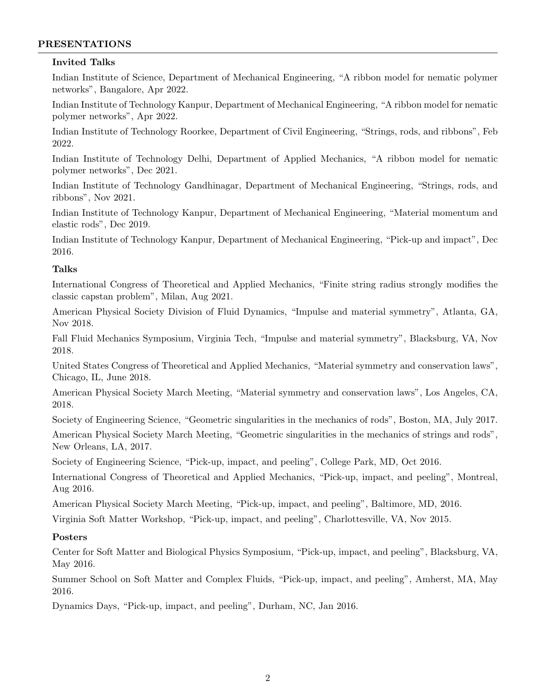## PRESENTATIONS

### Invited Talks

Indian Institute of Science, Department of Mechanical Engineering, "A ribbon model for nematic polymer networks", Bangalore, Apr 2022.

Indian Institute of Technology Kanpur, Department of Mechanical Engineering, "A ribbon model for nematic polymer networks", Apr 2022.

Indian Institute of Technology Roorkee, Department of Civil Engineering, "Strings, rods, and ribbons", Feb 2022.

Indian Institute of Technology Delhi, Department of Applied Mechanics, "A ribbon model for nematic polymer networks", Dec 2021.

Indian Institute of Technology Gandhinagar, Department of Mechanical Engineering, "Strings, rods, and ribbons", Nov 2021.

Indian Institute of Technology Kanpur, Department of Mechanical Engineering, "Material momentum and elastic rods", Dec 2019.

Indian Institute of Technology Kanpur, Department of Mechanical Engineering, "Pick-up and impact", Dec 2016.

### Talks

International Congress of Theoretical and Applied Mechanics, "Finite string radius strongly modifies the classic capstan problem", Milan, Aug 2021.

American Physical Society Division of Fluid Dynamics, "Impulse and material symmetry", Atlanta, GA, Nov 2018.

Fall Fluid Mechanics Symposium, Virginia Tech, "Impulse and material symmetry", Blacksburg, VA, Nov 2018.

United States Congress of Theoretical and Applied Mechanics, "Material symmetry and conservation laws", Chicago, IL, June 2018.

American Physical Society March Meeting, "Material symmetry and conservation laws", Los Angeles, CA, 2018.

Society of Engineering Science, "Geometric singularities in the mechanics of rods", Boston, MA, July 2017.

American Physical Society March Meeting, "Geometric singularities in the mechanics of strings and rods", New Orleans, LA, 2017.

Society of Engineering Science, "Pick-up, impact, and peeling", College Park, MD, Oct 2016.

International Congress of Theoretical and Applied Mechanics, "Pick-up, impact, and peeling", Montreal, Aug 2016.

American Physical Society March Meeting, "Pick-up, impact, and peeling", Baltimore, MD, 2016.

Virginia Soft Matter Workshop, "Pick-up, impact, and peeling", Charlottesville, VA, Nov 2015.

### Posters

Center for Soft Matter and Biological Physics Symposium, "Pick-up, impact, and peeling", Blacksburg, VA, May 2016.

Summer School on Soft Matter and Complex Fluids, "Pick-up, impact, and peeling", Amherst, MA, May 2016.

Dynamics Days, "Pick-up, impact, and peeling", Durham, NC, Jan 2016.